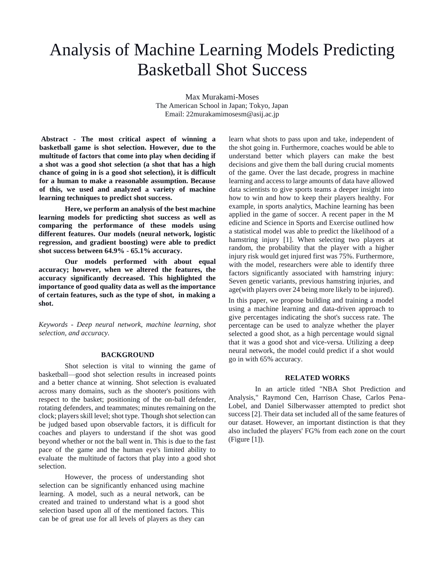# Analysis of Machine Learning Models Predicting Basketball Shot Success

Max Murakami-Moses The American School in Japan; Tokyo, Japan Email: 22murakamimosesm@asij.ac.jp

**Abstract - The most critical aspect of winning a basketball game is shot selection. However, due to the multitude of factors that come into play when deciding if a shot was a good shot selection (a shot that has a high chance of going in is a good shot selection), it is difficult for a human to make a reasonable assumption. Because of this, we used and analyzed a variety of machine learning techniques to predict shot success.** 

**Here, we perform an analysis of the best machine learning models for predicting shot success as well as comparing the performance of these models using different features. Our models (neural network, logistic regression, and gradient boosting) were able to predict shot success between 64.9% - 65.1% accuracy.** 

**Our models performed with about equal accuracy; however, when we altered the features, the accuracy significantly decreased. This highlighted the importance of good quality data as well as the importance of certain features, such as the type of shot, in making a shot.** 

*Keywords - Deep neural network, machine learning, shot selection, and accuracy.* 

#### **BACKGROUND**

Shot selection is vital to winning the game of basketball—good shot selection results in increased points and a better chance at winning. Shot selection is evaluated across many domains, such as the shooter's positions with respect to the basket; positioning of the on-ball defender, rotating defenders, and teammates; minutes remaining on the clock; players skill level; shot type. Though shot selection can be judged based upon observable factors, it is difficult for coaches and players to understand if the shot was good beyond whether or not the ball went in. This is due to the fast pace of the game and the human eye's limited ability to evaluate the multitude of factors that play into a good shot selection.

However, the process of understanding shot selection can be significantly enhanced using machine learning. A model, such as a neural network, can be created and trained to understand what is a good shot selection based upon all of the mentioned factors. This can be of great use for all levels of players as they can learn what shots to pass upon and take, independent of the shot going in. Furthermore, coaches would be able to understand better which players can make the best decisions and give them the ball during crucial moments of the game. Over the last decade, progress in machine learning and access to large amounts of data have allowed data scientists to give sports teams a deeper insight into how to win and how to keep their players healthy. For example, in sports analytics, Machine learning has been applied in the game of soccer. A recent paper in the M edicine and Science in Sports and Exercise outlined how a statistical model was able to predict the likelihood of a hamstring injury [1]. When selecting two players at random, the probability that the player with a higher injury risk would get injured first was 75%. Furthermore, with the model, researchers were able to identify three factors significantly associated with hamstring injury: Seven genetic variants, previous hamstring injuries, and age(with players over 24 being more likely to be injured).

In this paper, we propose building and training a model using a machine learning and data-driven approach to give percentages indicating the shot's success rate. The percentage can be used to analyze whether the player selected a good shot, as a high percentage would signal that it was a good shot and vice-versa. Utilizing a deep neural network, the model could predict if a shot would go in with 65% accuracy.

#### **RELATED WORKS**

In an article titled "NBA Shot Prediction and Analysis," Raymond Cen, Harrison Chase, Carlos Pena-Lobel, and Daniel Silberwasser attempted to predict shot success [2]. Their data set included all of the same features of our dataset. However, an important distinction is that they also included the players' FG% from each zone on the court (Figure [1]).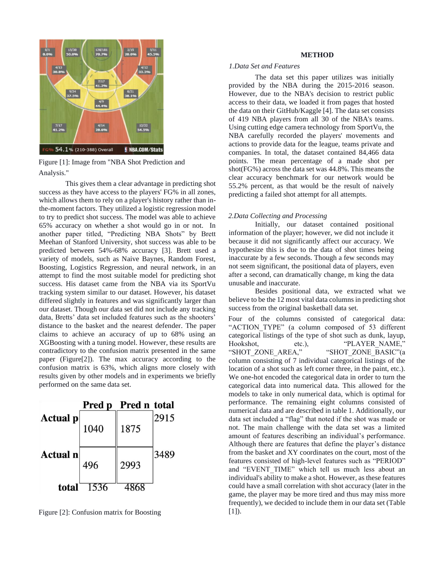

Figure [1]: Image from "NBA Shot Prediction and Analysis."

This gives them a clear advantage in predicting shot success as they have access to the players' FG% in all zones, which allows them to rely on a player's history rather than inthe-moment factors. They utilized a logistic regression model to try to predict shot success. The model was able to achieve 65% accuracy on whether a shot would go in or not. In another paper titled, "Predicting NBA Shots" by Brett Meehan of Stanford University, shot success was able to be predicted between 54%-68% accuracy [3]. Brett used a variety of models, such as Naive Baynes, Random Forest, Boosting, Logistics Regression, and neural network, in an attempt to find the most suitable model for predicting shot success. His dataset came from the NBA via its SportVu tracking system similar to our dataset. However, his dataset differed slightly in features and was significantly larger than our dataset. Though our data set did not include any tracking data, Bretts' data set included features such as the shooters' distance to the basket and the nearest defender. The paper claims to achieve an accuracy of up to 68% using an XGBoosting with a tuning model. However, these results are contradictory to the confusion matrix presented in the same paper (Figure[2]). The max accuracy according to the confusion matrix is 63%, which aligns more closely with results given by other models and in experiments we briefly performed on the same data set.



Figure [2]: Confusion matrix for Boosting

## **METHOD**

## *1.Data Set and Features*

The data set this paper utilizes was initially provided by the NBA during the 2015-2016 season. However, due to the NBA's decision to restrict public access to their data, we loaded it from pages that hosted the data on their GitHub/Kaggle [4]. The data set consists of 419 NBA players from all 30 of the NBA's teams. Using cutting edge camera technology from SportVu, the NBA carefully recorded the players' movements and actions to provide data for the league, teams private and companies. In total, the dataset contained 84,466 data points. The mean percentage of a made shot per shot(FG%) across the data set was 44.8%. This means the clear accuracy benchmark for our network would be 55.2% percent, as that would be the result of naively predicting a failed shot attempt for all attempts.

## *2.Data Collecting and Processing*

Initially, our dataset contained positional information of the player; however, we did not include it because it did not significantly affect our accuracy. We hypothesize this is due to the data of shot times being inaccurate by a few seconds. Though a few seconds may not seem significant, the positional data of players, even after a second, can dramatically change, m king the data unusable and inaccurate.

Besides positional data, we extracted what we believe to be the 12 most vital data columns in predicting shot success from the original basketball data set.

Four of the columns consisted of categorical data: "ACTION TYPE" (a column composed of 53 different categorical listings of the type of shot such as dunk, layup, Hookshot, etc.), "PLAYER\_NAME," "SHOT\_ZONE\_AREA," "SHOT\_ZONE\_BASIC"(a column consisting of 7 individual categorical listings of the location of a shot such as left corner three, in the paint, etc.). We one-hot encoded the categorical data in order to turn the categorical data into numerical data. This allowed for the models to take in only numerical data, which is optimal for performance. The remaining eight columns consisted of numerical data and are described in table 1. Additionally, our data set included a "flag" that noted if the shot was made or not. The main challenge with the data set was a limited amount of features describing an individual's performance. Although there are features that define the player's distance from the basket and XY coordinates on the court, most of the features consisted of high-level features such as "PERIOD" and "EVENT TIME" which tell us much less about an individual's ability to make a shot. However, as these features could have a small correlation with shot accuracy (later in the game, the player may be more tired and thus may miss more frequently), we decided to include them in our data set (Table  $[1]$ .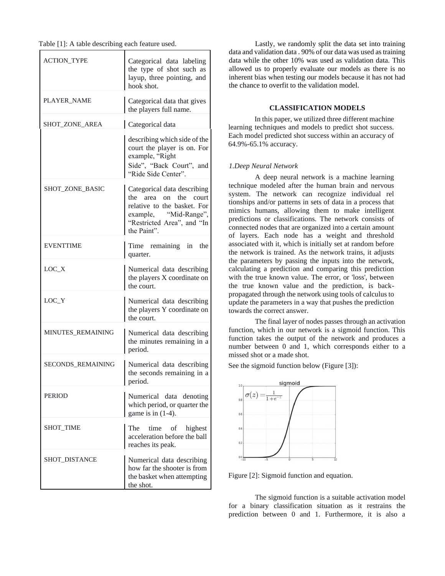| <b>ACTION_TYPE</b> | Categorical data labeling<br>the type of shot such as<br>layup, three pointing, and<br>hook shot.                                                            |
|--------------------|--------------------------------------------------------------------------------------------------------------------------------------------------------------|
| PLAYER_NAME        | Categorical data that gives<br>the players full name.                                                                                                        |
| SHOT_ZONE_AREA     | Categorical data                                                                                                                                             |
|                    | describing which side of the<br>court the player is on. For<br>example, "Right<br>Side", "Back Court", and<br>"Ride Side Center".                            |
| SHOT ZONE BASIC    | Categorical data describing<br>the<br>area on the court<br>relative to the basket. For<br>example, "Mid-Range",<br>"Restricted Area", and "In<br>the Paint". |
| <b>EVENTTIME</b>   | Time remaining in the<br>quarter.                                                                                                                            |
| $LOC_X$            | Numerical data describing<br>the players X coordinate on<br>the court.                                                                                       |
| $LOC_Y$            | Numerical data describing<br>the players Y coordinate on<br>the court.                                                                                       |
| MINUTES_REMAINING  | Numerical data describing<br>the minutes remaining in a<br>period.                                                                                           |
| SECONDS_REMAINING  | Numerical data describing<br>the seconds remaining in a<br>period.                                                                                           |
| <b>PERIOD</b>      | Numerical<br>data denoting<br>which period, or quarter the<br>game is in $(1-4)$ .                                                                           |
| SHOT_TIME          | The<br>time<br>of<br>highest<br>acceleration before the ball<br>reaches its peak.                                                                            |
| SHOT_DISTANCE      | Numerical data describing<br>how far the shooter is from<br>the basket when attempting<br>the shot.                                                          |

Lastly, we randomly split the data set into training data and validation data . 90% of our data was used as training data while the other 10% was used as validation data. This allowed us to properly evaluate our models as there is no inherent bias when testing our models because it has not had the chance to overfit to the validation model.

# **CLASSIFICATION MODELS**

In this paper, we utilized three different machine learning techniques and models to predict shot success. Each model predicted shot success within an accuracy of 64.9%-65.1% accuracy.

## *1.Deep Neural Network*

A deep neural network is a machine learning technique modeled after the human brain and nervous system. The network can recognize individual rel tionships and/or patterns in sets of data in a process that mimics humans, allowing them to make intelligent predictions or classifications. The network consists of connected nodes that are organized into a certain amount of layers. Each node has a weight and threshold associated with it, which is initially set at random before the network is trained. As the network trains, it adjusts the parameters by passing the inputs into the network, calculating a prediction and comparing this prediction with the true known value. The error, or 'loss', between the true known value and the prediction, is backpropagated through the network using tools of calculus to update the parameters in a way that pushes the prediction towards the correct answer.

The final layer of nodes passes through an activation function, which in our network is a sigmoid function. This function takes the output of the network and produces a number between 0 and 1, which corresponds either to a missed shot or a made shot.

See the sigmoid function below (Figure [3]):



Figure [2]: Sigmoid function and equation.

The sigmoid function is a suitable activation model for a binary classification situation as it restrains the prediction between 0 and 1. Furthermore, it is also a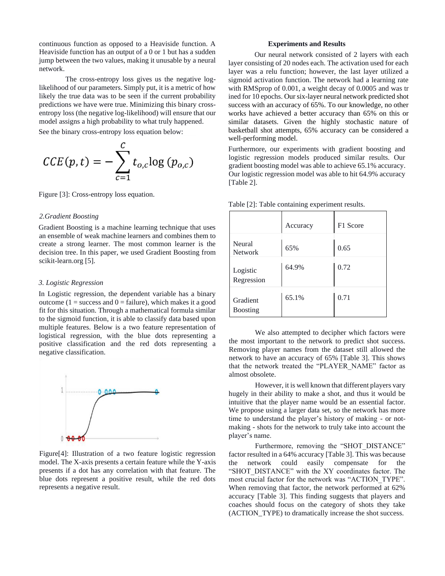continuous function as opposed to a Heaviside function. A Heaviside function has an output of a 0 or 1 but has a sudden jump between the two values, making it unusable by a neural network.

The cross-entropy loss gives us the negative loglikelihood of our parameters. Simply put, it is a metric of how likely the true data was to be seen if the current probability predictions we have were true. Minimizing this binary crossentropy loss (the negative log-likelihood) will ensure that our model assigns a high probability to what truly happened.

See the binary cross-entropy loss equation below:

$$
CCE(p, t) = -\sum_{c=1}^{C} t_{o,c} \log (p_{o,c})
$$

Figure [3]: Cross-entropy loss equation.

## *2.Gradient Boosting*

Gradient Boosting is a machine learning technique that uses an ensemble of weak machine learners and combines them to create a strong learner. The most common learner is the decision tree. In this paper, we used Gradient Boosting from scikit-learn.org [5].

# *3. Logistic Regression*

In Logistic regression, the dependent variable has a binary outcome ( $1 =$  success and  $0 =$  failure), which makes it a good fit for this situation. Through a mathematical formula similar to the sigmoid function, it is able to classify data based upon multiple features. Below is a two feature representation of logistical regression, with the blue dots representing a positive classification and the red dots representing a negative classification.



Figure[4]: Illustration of a two feature logistic regression model. The X-axis presents a certain feature while the Y-axis presents if a dot has any correlation with that feature. The blue dots represent a positive result, while the red dots represents a negative result.

### **Experiments and Results**

Our neural network consisted of 2 layers with each layer consisting of 20 nodes each. The activation used for each layer was a relu function; however, the last layer utilized a sigmoid activation function. The network had a learning rate with RMSprop of 0.001, a weight decay of 0.0005 and was tr ined for 10 epochs. Our six-layer neural network predicted shot success with an accuracy of 65%. To our knowledge, no other works have achieved a better accuracy than 65% on this or similar datasets. Given the highly stochastic nature of basketball shot attempts, 65% accuracy can be considered a well-performing model.

Furthermore, our experiments with gradient boosting and logistic regression models produced similar results. Our gradient boosting model was able to achieve 65.1% accuracy. Our logistic regression model was able to hit 64.9% accuracy [Table 2].

|                             | Accuracy | F1 Score |
|-----------------------------|----------|----------|
| Neural<br><b>Network</b>    | 65%      | 0.65     |
| Logistic<br>Regression      | 64.9%    | 0.72     |
| Gradient<br><b>Boosting</b> | 65.1%    | 0.71     |

Table [2]: Table containing experiment results.

We also attempted to decipher which factors were the most important to the network to predict shot success. Removing player names from the dataset still allowed the network to have an accuracy of 65% [Table 3]. This shows that the network treated the "PLAYER\_NAME" factor as almost obsolete.

However, it is well known that different players vary hugely in their ability to make a shot, and thus it would be intuitive that the player name would be an essential factor. We propose using a larger data set, so the network has more time to understand the player's history of making - or notmaking - shots for the network to truly take into account the player's name.

Furthermore, removing the "SHOT DISTANCE" factor resulted in a 64% accuracy [Table 3]. This was because the network could easily compensate for the "SHOT\_DISTANCE" with the XY coordinates factor. The most crucial factor for the network was "ACTION\_TYPE". When removing that factor, the network performed at 62% accuracy [Table 3]. This finding suggests that players and coaches should focus on the category of shots they take (ACTION\_TYPE) to dramatically increase the shot success.